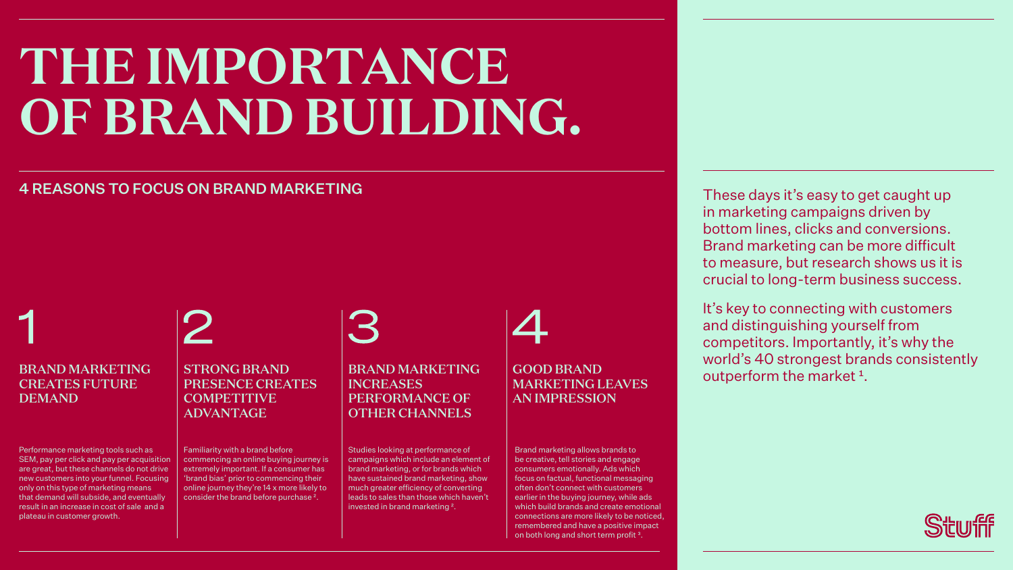BRAND MARKETING INCREASES PERFORMANCE OF OTHER CHANNELS

## **THE IMPORTANCE OF BRAND BUILDING.**

These days it's easy to get caught up in marketing campaigns driven by bottom lines, clicks and conversions. Brand marketing can be more difficult to measure, but research shows us it is crucial to long-term business success.

It's key to connecting with customers and distinguishing yourself from competitors. Importantly, it's why the world's 40 strongest brands consistently outperform the market<sup>1</sup>.











Brand marketing allows brands to be creative, tell stories and engage consumers emotionally. Ads which focus on factual, functional messaging often don't connect with customers earlier in the buying journey, while ads which build brands and create emotional connections are more likely to be noticed, remembered and have a positive impact on both long and short term profit<sup>3</sup>.

Performance marketing tools such as SEM, pay per click and pay per acquisition are great, but these channels do not drive new customers into your funnel. Focusing only on this type of marketing means that demand will subside, and eventually result in an increase in cost of sale and a plateau in customer growth.

Studies looking at performance of campaigns which include an element of brand marketing, or for brands which have sustained brand marketing, show much greater efficiency of converting leads to sales than those which haven't invested in brand marketing ².

Familiarity with a brand before commencing an online buying journey is extremely important. If a consumer has 'brand bias' prior to commencing their online journey they're 14 x more likely to consider the brand before purchase ².

3

## 4 REASONS TO FOCUS ON BRAND MARKETING

BRAND MARKETING CREATES FUTURE DEMAND

STRONG BRAND PRESENCE CREATES **COMPETITIVE** ADVANTAGE

## GOOD BRAND MARKETING LEAVES AN IMPRESSION